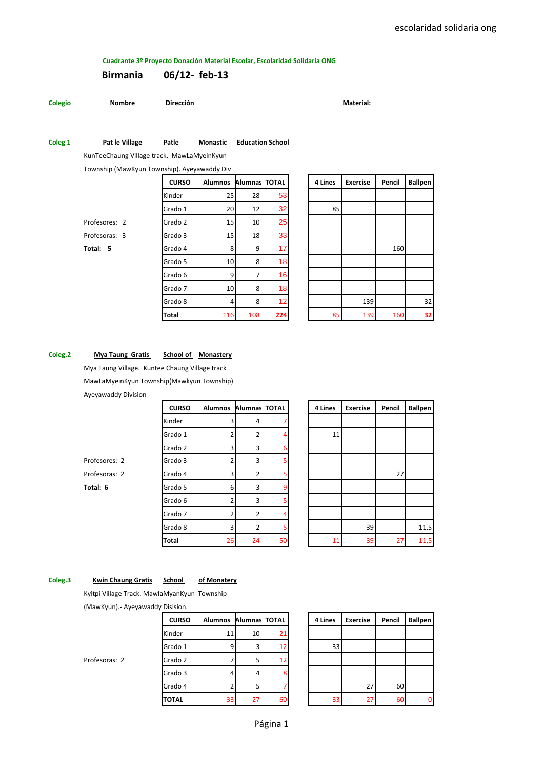#### **Cuadrante 3º Proyecto Donación Material Escolar, Escolaridad Solidaria ONG**

## **Birmania 06/12- feb-13**

| <b>Colegio</b> | Nombre | Dirección | Material: |
|----------------|--------|-----------|-----------|
|----------------|--------|-----------|-----------|

#### **Coleg 1 Pat le Village Patle Monastic Education School**

KunTeeChaung Village track, MawLaMyeinKyun

Township (MawKyun Township). Ayeyawaddy Div

|               | <b>CURSO</b> | <b>Alumnos</b> | <b>Alumnas</b> | <b>TOTAL</b>    | 4 Lines | <b>Exercise</b> | Pencil | <b>Ballpen</b> |
|---------------|--------------|----------------|----------------|-----------------|---------|-----------------|--------|----------------|
|               | Kinder       | 25             | 28             | 53              |         |                 |        |                |
|               | Grado 1      | 20             | 12             | 32              | 85      |                 |        |                |
| Profesores: 2 | Grado 2      | 15             | 10             | 25              |         |                 |        |                |
| Profesoras: 3 | Grado 3      | 15             | 18             | 33              |         |                 |        |                |
| Total: 5      | Grado 4      | 8              | 9              | 17              |         |                 | 160    |                |
|               | Grado 5      | 10             | 8              | 18              |         |                 |        |                |
|               | Grado 6      | 9              | 7              | 16              |         |                 |        |                |
|               | Grado 7      | 10             | 8              | 18              |         |                 |        |                |
|               | Grado 8      | $\overline{4}$ | 8              | 12 <sub>2</sub> |         | 139             |        | 32             |
|               | <b>Total</b> | 116            | 108            | 224             | 85      | 139             | 160    | 32             |

|              | $\mathbf{u} \sim \mathbf{v} \sim \mathbf{v} \sim \mathbf{v} \sim \mathbf{v} \sim \mathbf{v} \sim \mathbf{v} \sim \mathbf{v} \sim \mathbf{v} \sim \mathbf{v} \sim \mathbf{v} \sim \mathbf{v} \sim \mathbf{v} \sim \mathbf{v} \sim \mathbf{v} \sim \mathbf{v} \sim \mathbf{v} \sim \mathbf{v} \sim \mathbf{v} \sim \mathbf{v} \sim \mathbf{v} \sim \mathbf{v} \sim \mathbf{v} \sim \mathbf{v} \sim \mathbf{v} \sim \mathbf{v} \sim \mathbf{v} \sim \mathbf{$ |                |              |         |                 |        |                |
|--------------|------------------------------------------------------------------------------------------------------------------------------------------------------------------------------------------------------------------------------------------------------------------------------------------------------------------------------------------------------------------------------------------------------------------------------------------------------------|----------------|--------------|---------|-----------------|--------|----------------|
| <b>CURSO</b> | <b>Alumnos</b>                                                                                                                                                                                                                                                                                                                                                                                                                                             | <b>Alumnas</b> | <b>TOTAL</b> | 4 Lines | <b>Exercise</b> | Pencil | <b>Ballpen</b> |
| nder         | 25                                                                                                                                                                                                                                                                                                                                                                                                                                                         | 28             | 53           |         |                 |        |                |
| ado 1        | 20                                                                                                                                                                                                                                                                                                                                                                                                                                                         | 12             | 32           | 85      |                 |        |                |
| ado 2        | 15                                                                                                                                                                                                                                                                                                                                                                                                                                                         | 10             | 25           |         |                 |        |                |
| ado 3        | 15                                                                                                                                                                                                                                                                                                                                                                                                                                                         | 18             | 33           |         |                 |        |                |
| ado 4        | 8                                                                                                                                                                                                                                                                                                                                                                                                                                                          | 9              | 17           |         |                 | 160    |                |
| ado 5        | 10                                                                                                                                                                                                                                                                                                                                                                                                                                                         | 8              | 18           |         |                 |        |                |
| ado 6        | 9                                                                                                                                                                                                                                                                                                                                                                                                                                                          |                | 16           |         |                 |        |                |
| ado 7        | 10                                                                                                                                                                                                                                                                                                                                                                                                                                                         | 8              | 18           |         |                 |        |                |
| ado 8        | 4                                                                                                                                                                                                                                                                                                                                                                                                                                                          | 8              | 12           |         | 139             |        | 32             |
| otal         | 116                                                                                                                                                                                                                                                                                                                                                                                                                                                        | 108            | 224          | 85      | 139             | 160    | 32             |

### **Coleg.2 Mya Taung Gratis School of Monastery**

Mya Taung Village. Kuntee Chaung Village track

MawLaMyeinKyun Township(Mawkyun Township)

Ayeyawaddy Division

Profesores: 2 Profesoras: 2 **Total: 6** 

| <b>CURSO</b> | <b>Alumnos</b> | Alumnas | <b>TOTAL</b> | 4 Lines | <b>Exercise</b> | Pencil | <b>Ballpen</b> |
|--------------|----------------|---------|--------------|---------|-----------------|--------|----------------|
| Kinder       | 3              | 4       |              |         |                 |        |                |
| Grado 1      | 2              |         |              | 11      |                 |        |                |
| Grado 2      | 3              | 3       | 6            |         |                 |        |                |
| Grado 3      | $\overline{2}$ | 3       | 5            |         |                 |        |                |
| Grado 4      | 3              | 2       | 5            |         |                 | 27     |                |
| Grado 5      | 6              | 3       | 9            |         |                 |        |                |
| Grado 6      | $\overline{2}$ | 3       | 5            |         |                 |        |                |
| Grado 7      | 2              |         |              |         |                 |        |                |
| Grado 8      | 3              |         | 5            |         | 39              |        | 11,5           |
| <b>Total</b> | 26             | 24      | 50           | 11      | 39              | 27     | 11,5           |

| <b>CURSO</b> | Alumnos        | <b>Alumnas</b> | <b>TOTAL</b> | 4 Lines | <b>Exercise</b> | Pencil | <b>Ballpen</b> |
|--------------|----------------|----------------|--------------|---------|-----------------|--------|----------------|
| nder         | 3              | 4              |              |         |                 |        |                |
| ado 1        | 2              |                |              | 11      |                 |        |                |
| ado 2        | 3              | 3              | 6            |         |                 |        |                |
| ado 3        | 2              | 3              | 5            |         |                 |        |                |
| ado 4        | 3              |                | 5            |         |                 | 27     |                |
| ado 5        | 6              | 3              | 9            |         |                 |        |                |
| ado 6        | 2              | 3              | 5            |         |                 |        |                |
| ado 7        | $\overline{2}$ |                |              |         |                 |        |                |
| ado 8        | 3              |                | 5            |         | 39              |        | 11,5           |
| otal         | 26             | 24             | 50           | 11      | 39              | 27     | 11,5           |

**Coleg.3 Kwin Chaung Gratis School of Monatery**

Kyitpi Village Track. MawlaMyanKyun Township

(MawKyun).- Ayeyawaddy Disision.

| Profesoras: 2 |  |
|---------------|--|
|---------------|--|

|               | <b>CURSO</b> | Alumnos Alumnas TOTAL |    |                 | 4 Lines | <b>Exercise</b> | Pencil |
|---------------|--------------|-----------------------|----|-----------------|---------|-----------------|--------|
|               | Kinder       | 11                    | 10 | 21              |         |                 |        |
|               | Grado 1      | 9                     | 3  | 12              | 33      |                 |        |
| Profesoras: 2 | Grado 2      |                       | 5  | 12 <sub>1</sub> |         |                 |        |
|               | Grado 3      | 4                     | 4  |                 |         |                 |        |
|               | Grado 4      |                       | 5  |                 |         | 27              | 60     |
|               | <b>TOTAL</b> | 33                    | 27 | 60              | 33      | 27              | 60     |

| <b>CURSO</b> | Alumnos Alumnas |    | <b>TOTAL</b> | 4 Lines | <b>Exercise</b> | Pencil | <b>Ballpen</b> |
|--------------|-----------------|----|--------------|---------|-----------------|--------|----------------|
| Kinder       | 11              | 10 | 21           |         |                 |        |                |
| Grado 1      |                 | 3  | 12           | 33      |                 |        |                |
| Grado 2      |                 | 5  | 12           |         |                 |        |                |
| Grado 3      |                 | 4  |              |         |                 |        |                |
| Grado 4      |                 |    |              |         | 27              | 60     |                |
| TOTAL        | 33              | 27 | 60           | 33      | 27              | 60     |                |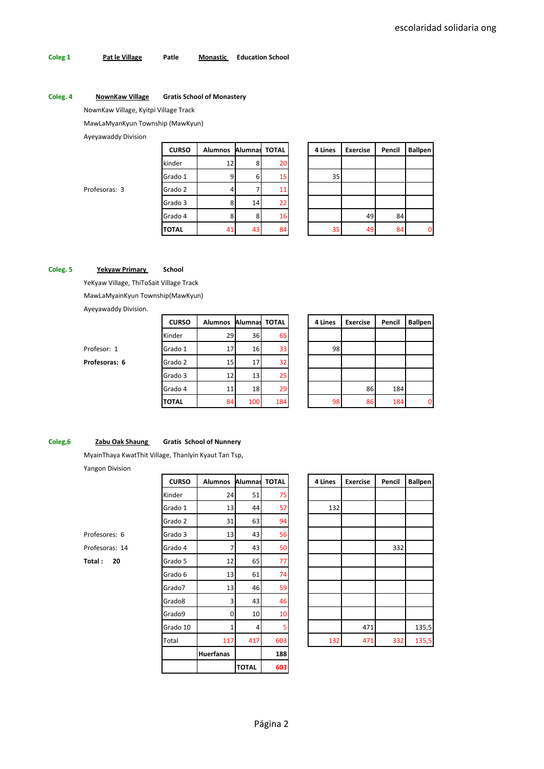**Coleg 1 Pat le Village Patle Monastic Education School**

### **Coleg. 4 NownKaw Village Gratis School of Monastery**

NownKaw Village, Kyitpi Village Track

MawLaMyanKyun Township (MawKyun)

Ayeyawaddy Division

Profesoras: 3

| <b>CURSO</b> | Alumnos | <b>Alumnas TOTAL</b> |                 | 4 Lines | <b>Exercise</b> | Pencil |
|--------------|---------|----------------------|-----------------|---------|-----------------|--------|
| kinder       | 12      | 8                    | 20 <sup>1</sup> |         |                 |        |
| Grado 1      | 9       | 6                    | 15              | 35      |                 |        |
| Grado 2      | 4       |                      | 11              |         |                 |        |
| Grado 3      | 8       | 14                   | 22              |         |                 |        |
| Grado 4      | 8       | 8                    | 16              |         | 49              | 84     |
| <b>TOTAL</b> | 41      | 43                   | 84              | 35      | 49              | 84     |

| <b>CURSO</b> | Alumnos | <b>Alumnas</b> | <b>TOTAL</b> | 4 Lines | <b>Exercise</b> | Pencil | <b>Ballpen</b> |
|--------------|---------|----------------|--------------|---------|-----------------|--------|----------------|
| kinder       | 12      | 8              | 20           |         |                 |        |                |
| Grado 1      |         | 6              | 15           | 35      |                 |        |                |
| Grado 2      |         |                |              |         |                 |        |                |
| Grado 3      | 8       | 14             | 22           |         |                 |        |                |
| Grado 4      |         | 8              | 16           |         | 49              | 84     |                |
| TOTAL        | 41      | 43             | 84           | 35      | 49              | 84     | 0              |

### **Coleg. 5 Yekyaw Primary School**

YeKyaw Village, ThiToSait Village Track

MawLaMyainKyun Township(MawKyun)

Ayeyawaddy Division.

|               | <b>CURSO</b> | Alumnos Alumnas TOTAL |     |     | 4 Lines | <b>Exercise</b> | Pencil |
|---------------|--------------|-----------------------|-----|-----|---------|-----------------|--------|
|               | Kinder       | 29                    | 36  | 65  |         |                 |        |
| Profesor: 1   | Grado 1      | 17                    | 16  | 33  | 98      |                 |        |
| Profesoras: 6 | Grado 2      | 15                    | 17  | 32  |         |                 |        |
|               | Grado 3      | 12                    | 13  | 25  |         |                 |        |
|               | Grado 4      | 11                    | 18  | 29  |         | 86              | 184    |
|               | <b>TOTAL</b> | 84                    | 100 | 184 | 98      | 86              | 184    |

| <b>CURSO</b> | Alumnos | Alumnas TOTAL |     | 4 Lines | <b>Exercise</b> | Pencil | <b>Ballpen</b> |
|--------------|---------|---------------|-----|---------|-----------------|--------|----------------|
| Kinder       | 29      | 36            | 65  |         |                 |        |                |
| Grado 1      | 17      | 16            | 33  | 98      |                 |        |                |
| Grado 2      | 15      | 17            | 32  |         |                 |        |                |
| Grado 3      | 12      | 13            | 25  |         |                 |        |                |
| Grado 4      | 11      | 18            | 29  |         | 86              | 184    |                |
| TOTAL        | 84      | 100           | 184 | 98      | 86              | 184    | 0              |

### **Coleg,6 Zabu Oak Shaung Gratis School of Nunnery**

MyainThaya KwatThit Village, Thanlyin Kyaut Tan Tsp,

Yangon Division

Profesores: 6 Profesoras: 14

**Total : 20** 

| <b>CURSO</b> | <b>Alumnos</b>   | Alumnas      | <b>TOTAL</b> | 4 Lines | <b>Exercise</b> | Pencil | <b>Ballpen</b> |
|--------------|------------------|--------------|--------------|---------|-----------------|--------|----------------|
| Kinder       | 24               | 51           | 75           |         |                 |        |                |
| Grado 1      | 13               | 44           | 57           | 132     |                 |        |                |
| Grado 2      | 31               | 63           | 94           |         |                 |        |                |
| Grado 3      | 13               | 43           | 56           |         |                 |        |                |
| Grado 4      | 7                | 43           | 50           |         |                 | 332    |                |
| Grado 5      | 12               | 65           | 77           |         |                 |        |                |
| Grado 6      | 13               | 61           | 74           |         |                 |        |                |
| Grado7       | 13               | 46           | 59           |         |                 |        |                |
| Grado8       | 3                | 43           | 46           |         |                 |        |                |
| Grado9       | 0                | 10           | 10           |         |                 |        |                |
| Grado 10     | 1                | 4            | 5            |         | 471             |        | 135,5          |
| Total        | 117              | 417          | 603          | 132     | 471             | 332    | 135,5          |
|              | <b>Huerfanas</b> |              | 188          |         |                 |        |                |
|              |                  | <b>TOTAL</b> | 603          |         |                 |        |                |

| 4 Lines | <b>Exercise</b> | Pencil | <b>Ballpen</b> |
|---------|-----------------|--------|----------------|
|         |                 |        |                |
| 132     |                 |        |                |
|         |                 |        |                |
|         |                 |        |                |
|         |                 | 332    |                |
|         |                 |        |                |
|         |                 |        |                |
|         |                 |        |                |
|         |                 |        |                |
|         |                 |        |                |
|         | 471             |        | 135,5          |
| 132     | 471             | 332    | 135,5          |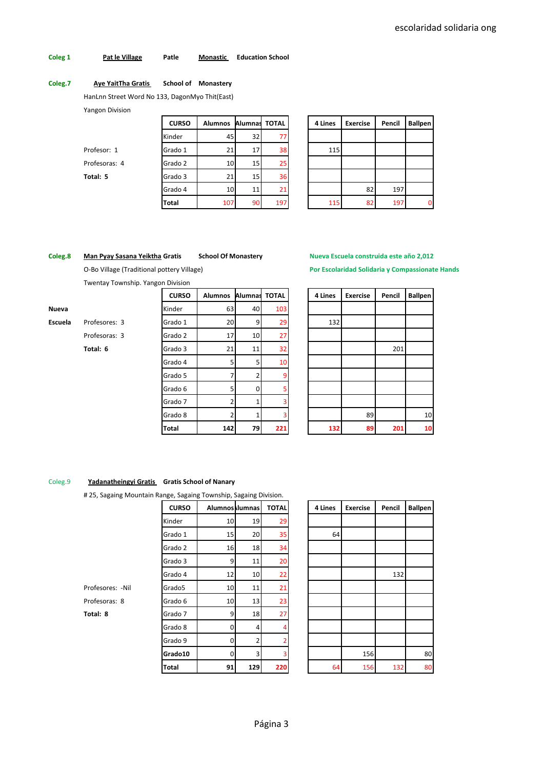**Coleg 1 Pat le Village Patle Monastic Education School**

#### **Coleg.7 Aye YaitTha Gratis School of Monastery**

HanLnn Street Word No 133, DagonMyo Thit(East)

Yangon Division

Profesor: 1 Profesoras: 4 **Total: 5** 

| <b>CURSO</b> | Alumnos Alumnas TOTAL |                 |     | 4 Lines | <b>Exercise</b> | Pencil | <b>Ballpen</b> |
|--------------|-----------------------|-----------------|-----|---------|-----------------|--------|----------------|
| Kinder       | 45                    | 32 <sub>l</sub> | 77  |         |                 |        |                |
| Grado 1      | 21                    | 17              | 38  | 115     |                 |        |                |
| Grado 2      | 10                    | 15 <sub>l</sub> | 25  |         |                 |        |                |
| Grado 3      | 21                    | 15              | 36  |         |                 |        |                |
| Grado 4      | 10                    | 11              | 21  |         | 82              | 197    |                |
| <b>Total</b> | 107                   | 90              | 197 | 115     | 82              | 197    |                |

| <b>CURSO</b> | <b>Alumnos</b> | <b>Alumnas</b> | <b>TOTAL</b> | 4 Lines | <b>Exercise</b> | Pencil | <b>Ballpen</b> |
|--------------|----------------|----------------|--------------|---------|-----------------|--------|----------------|
| nder         | 45             | 32             | 77           |         |                 |        |                |
| ado 1        | 21             | 17             | 38           | 115     |                 |        |                |
| ado 2        | 10             | 15             | 25           |         |                 |        |                |
| ado 3        | 21             | 15             | 36           |         |                 |        |                |
| ado 4        | 10             | 11             | 21           |         | 82              | 197    |                |
| otal         | 107            | 90             | 197          | 115     | 82              | 197    |                |

### **Coleg.8 Man Pyay Sasana Yeiktha Gratis School Of Monastery Nueva Escuela construida este año 2,012**

Twentay Township. Yangon Division

|              |               | <b>CURSO</b> | <b>Alumnos</b> | <b>Alumnas</b> | <b>TOTAL</b> | 4 Lines | <b>Exercise</b> | Pencil | <b>Ballpen</b> |
|--------------|---------------|--------------|----------------|----------------|--------------|---------|-----------------|--------|----------------|
| <b>Nueva</b> |               | Kinder       | 63             | 40             | 103          |         |                 |        |                |
| Escuela      | Profesores: 3 | Grado 1      | 20             | 9              | 29           | 132     |                 |        |                |
|              | Profesoras: 3 | Grado 2      | 17             | 10             | 27           |         |                 |        |                |
|              | Total: 6      | Grado 3      | 21             | 11             | 32           |         |                 | 201    |                |
|              |               | Grado 4      | 5.             | 5              | 10           |         |                 |        |                |
|              |               | Grado 5      |                |                | 9            |         |                 |        |                |
|              |               | Grado 6      | 51             | $\Omega$       |              |         |                 |        |                |
|              |               | Grado 7      |                |                | ٩            |         |                 |        |                |
|              |               | Grado 8      |                |                |              |         | 89              |        | 10             |
|              |               | <b>Total</b> | 142            | 79             | 221          | 132     | 89              | 201    | 10             |

O-Bo Village (Traditional pottery Village) **Por Escolaridad Solidaria y Compassionate Hands**

| <b>CURSO</b> | <b>Alumnos</b> | Alumnas        | <b>TOTAL</b> | 4 Lines | <b>Exercise</b> | Pencil | <b>Ballpen</b> |
|--------------|----------------|----------------|--------------|---------|-----------------|--------|----------------|
| nder         | 63             | 40             | 103          |         |                 |        |                |
| ado 1        | 20             | 9              | 29           | 132     |                 |        |                |
| ado 2        | 17             | 10             | 27           |         |                 |        |                |
| ado 3        | 21             | 11             | 32           |         |                 | 201    |                |
| ado 4        | 5              | 5              | 10           |         |                 |        |                |
| ado 5        |                | $\overline{2}$ | 9            |         |                 |        |                |
| ado 6        | 5              | $\Omega$       | 5            |         |                 |        |                |
| ado 7        | $\overline{2}$ |                | 3            |         |                 |        |                |
| ado 8        | $\overline{2}$ |                | 3            |         | 89              |        | 10             |
| otal         | 142            | 79             | 221          | 132     | 89              | 201    | 10             |

#### Coleg.9 **Yadanatheingyi Gratis Gratis School of Nanary**

# 25, Sagaing Mountain Range, Sagaing Township, Sagaing Division.

| $\sim$ 23, Jagaing Mountain Range, Jagaing Township, Jagaing Division. |              |                        |     |              |         |                 |        |                |
|------------------------------------------------------------------------|--------------|------------------------|-----|--------------|---------|-----------------|--------|----------------|
|                                                                        | <b>CURSO</b> | <b>Alumnos Ilumnas</b> |     | <b>TOTAL</b> | 4 Lines | <b>Exercise</b> | Pencil | <b>Ballpen</b> |
|                                                                        | Kinder       | 10 <sup>1</sup>        | 19  | 29           |         |                 |        |                |
|                                                                        | Grado 1      | 15                     | 20  | 35           | 64      |                 |        |                |
|                                                                        | Grado 2      | 16                     | 18  | 34           |         |                 |        |                |
|                                                                        | Grado 3      | 9                      | 11  | 20           |         |                 |        |                |
|                                                                        | Grado 4      | 12                     | 10  | 22           |         |                 | 132    |                |
| Profesores: - Nil                                                      | Grado5       | 10                     | 11  | 21           |         |                 |        |                |
| Profesoras: 8                                                          | Grado 6      | 10                     | 13  | 23           |         |                 |        |                |
| Total: 8                                                               | Grado 7      | 9                      | 18  | 27           |         |                 |        |                |
|                                                                        | Grado 8      | $\overline{0}$         | 4   |              |         |                 |        |                |
|                                                                        | Grado 9      | $\overline{0}$         | 2   |              |         |                 |        |                |
|                                                                        | Grado10      | $\overline{0}$         | 3   | ঽ            |         | 156             |        | 80             |
|                                                                        | Total        | 91 l                   | 129 | 220          | 64      | 156             | 132    | 80             |

| <b>CURSO</b> | <b>Alumnos Mumnas</b> |     | <b>TOTAL</b> | 4 Lines | <b>Exercise</b> | Pencil | <b>Ballpen</b> |
|--------------|-----------------------|-----|--------------|---------|-----------------|--------|----------------|
| Kinder       | 10                    | 19  | 29           |         |                 |        |                |
| Grado 1      | 15                    | 20  | 35           | 64      |                 |        |                |
| Grado 2      | 16                    | 18  | 34           |         |                 |        |                |
| Grado 3      | 9                     | 11  | 20           |         |                 |        |                |
| Grado 4      | 12                    | 10  | 22           |         |                 | 132    |                |
| Grado5       | 10                    | 11  | 21           |         |                 |        |                |
| Grado 6      | 10                    | 13  | 23           |         |                 |        |                |
| Grado 7      | 9                     | 18  | 27           |         |                 |        |                |
| Grado 8      | $\mathbf 0$           | 4   | 4            |         |                 |        |                |
| Grado 9      | 0                     | 2   | 2            |         |                 |        |                |
| Grado10      | $\mathbf 0$           | 3   | 3            |         | 156             |        | 80             |
| Total        | 91                    | 129 | 220          | 64      | 156             | 132    | 80             |